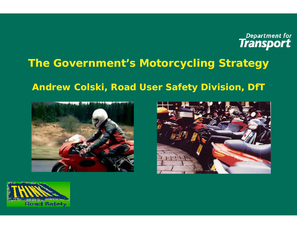

## **The Government's M otorcycling Strategy**

#### **Andrew Colski, Road U s er Safety Division, DfT**





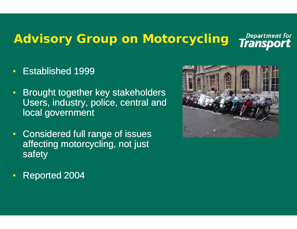## **Advisory Group on M Motorcycling**

Department for **Transport** 

- $\bullet$ • Established 1999
- $\bullet$ • Brought together key stakeholders Users, industry, police, central and<br>local government
- Considered full range of issue s affecting motorcycling, not jus t safet y



 $\bullet$ Reported 2004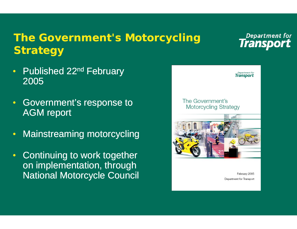## **The Government's Moto orcy g clin Strategy**

### $\bullet$ • Published 22<sup>nd</sup> February<br>2005

- Government's response to AGM report
- •Mainstreaming motorcycling
- $\bullet$ **• Continuing to work together** on implementation, through National Motorcycle Council

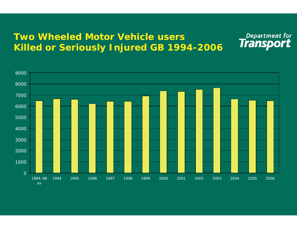#### **Two Wheeled Motor Vehicl e users Killed or Seriously Injured GB 1994 1994-2006**

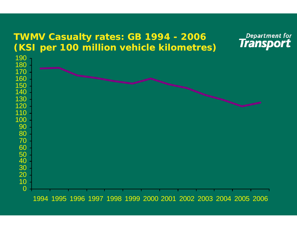### **TWMV Casualty rates: GB 1 1994 - 2006 (KSI per 100 million vehicle kilometres)**



Department for

**Transport**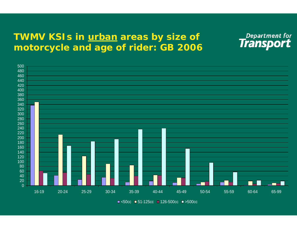### **TWMV KSIs in urban areas by size of motorcycle and age of ride r: GB 2006**



Department for<br>**Transport** 

<50cc ■ 51-125cc ■ 126-500cc ■ >500cc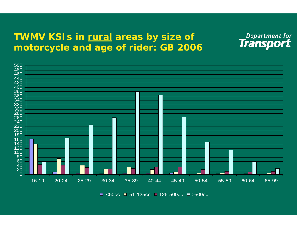### **TWMV KSIs in rural areas b by size of motorcycle and age of ride r: GB 2006**



Department for<br>**Transport** 

 $\leq$ 50cc  $\blacksquare$  151-125cc  $\blacksquare$  126-500cc  $\blacksquare$  >500cc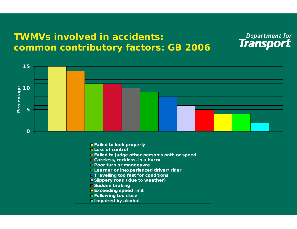### **TWMVs involved in accidennts:**  common contributory factors: GB 2006



- **Failed to look properly**
- **Loss of control**
- **Failed to judge other p e erson's path or speed**
- **Careless, reckless, in a h hurry**
- **Poor turn or manoeuvre**
- **Learner or inexperience ed driver/rider**
- **Travelling too fast for co onditions**
- **Slippery road (due to w eather)**
- **E** Sudden braking
- **Exceeding speed limit**
- **Following too close**
- **Impaired by alcohol**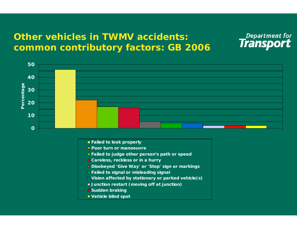### **Other vehicles in TWMV accidents:**  common contributory factors: GB 2006



- **Failed to look properly**
- **Poor turn or manoeuvre**
- **Failed to judge other per sson's path or speed**
- **Careless, reckless or in a hurr y**
- **Disobeyed 'Give Way' or ' 'Stop' sign or markings**
- **Failed to signal or mislea d ding signal**
- **Vision affected by station a ary or parked vehicle(s)**
- **Junction restart ( g movin o off at j ) unction)**
- **E** Sudden braking
- **Vehicle blind spot**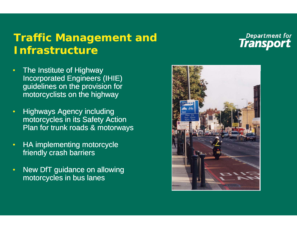## **Traffic Management and Infrastructure**

- • The Institute of Highway Incorporated Engineers (IHIE) guidelines on the provision for motorcyclists on the highway
- $\bullet$  Highways Agency including motorcycles in its Safety Action Plan for trunk roads & motorways
- $\bullet$  HA implementing motorcycle friendly crash barriers
- $\bullet$  New DfT guidance on allowing motorcycles in bus lanes

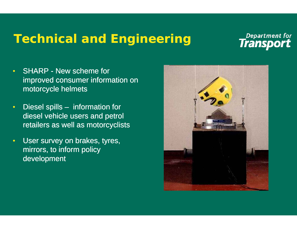## **Technical and Engineering**

- SHARP New scheme for improved consumer information on motorcycle helmets
- $\bullet$  Diesel spills – information for diesel vehicle users and petrol retailers as well as motorcyclists
- $\bullet$  User survey on brakes, tyres, mirrors, to inform policy development

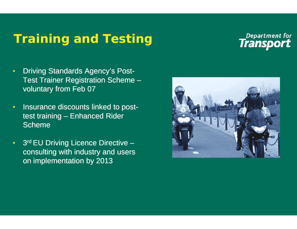## **Training and Testing g**

- $\bullet$ • Driving Standards Agency's Post - Test Trainer Registration Scheme – voluntary from Feb 07
- $\bullet$ Insurance discounts linked to posttest training – Enhanced Rider Scheme
- 3rd EU Driving Licence Directive consulting with industry and users on implementation by 2013

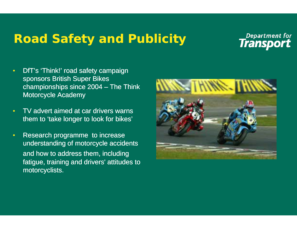## **Road Safety and Pub blicity**

- • $\bullet$   $\;$  DfT's 'Think!' road safety campaign sponsors British Super Bikes championships since 2004 – The Think Motorcycle Academy
- $\bullet$  TV advert aimed at car drivers warns them to 'take longer to look for bikes'
- $\bullet$  Research programme to increase understanding of motorcycle accidents and how to address them, including fatigue, training and drivers' attitudes to motorcyclists.

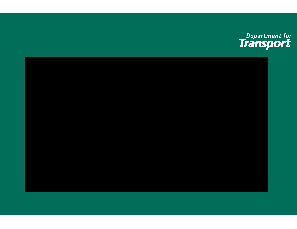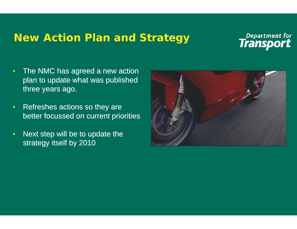### **New Action Plan and S t trategy**

- $\bullet$ • The NMC has agreed a new action plan to update what was published three years ago.
- $\bullet$  Refreshes actions so they are better focussed on current priorities
- $\bullet$  Next step will be to update the strategy itself by 2010